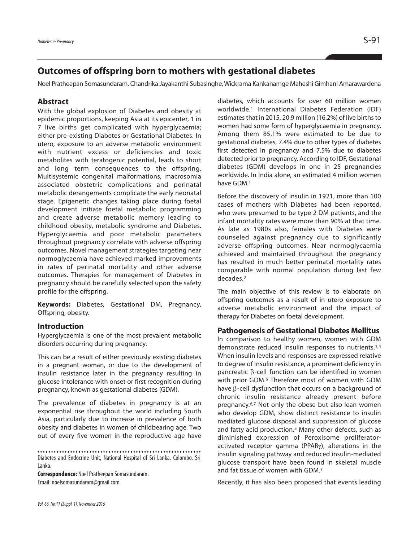# **Outcomes of offspring born to mothers with gestational diabetes**

Noel Pratheepan Somasundaram, Chandrika Jayakanthi Subasinghe,Wickrama Kankanamge Maheshi Gimhani Amarawardena

### **Abstract**

With the global explosion of Diabetes and obesity at epidemic proportions, keeping Asia at its epicenter, 1 in 7 live births get complicated with hyperglycaemia; either pre-existing Diabetes or Gestational Diabetes. In utero, exposure to an adverse metabolic environment with nutrient excess or deficiencies and toxic metabolites with teratogenic potential, leads to short and long term consequences to the offspring. Multisystemic congenital malformations, macrosomia associated obstetric complications and perinatal metabolic derangements complicate the early neonatal stage. Epigenetic changes taking place during foetal development initiate foetal metabolic programming and create adverse metabolic memory leading to childhood obesity, metabolic syndrome and Diabetes. Hyperglycaemia and poor metabolic parameters throughout pregnancy correlate with adverse offspring outcomes. Novel management strategies targeting near normoglycaemia have achieved marked improvements in rates of perinatal mortality and other adverse outcomes. Therapies for management of Diabetes in pregnancy should be carefully selected upon the safety profile for the offspring.

**Keywords:** Diabetes, Gestational DM, Pregnancy, Offspring, obesity.

### **Introduction**

Hyperglycaemia is one of the most prevalent metabolic disorders occurring during pregnancy.

This can be a result of either previously existing diabetes in a pregnant woman, or due to the development of insulin resistance later in the pregnancy resulting in glucose intolerance with onset or first recognition during pregnancy, known as gestational diabetes (GDM).

The prevalence of diabetes in pregnancy is at an exponential rise throughout the world including South Asia, particularly due to increase in prevalence of both obesity and diabetes in women of childbearing age. Two out of every five women in the reproductive age have

Diabetes and Endocrine Unit, National Hospital of Sri Lanka, Colombo, Sri Lanka.

**Correspondence: Noel Pratheepan Somasundaram.** Email: noelsomasundaram@gmail.com

diabetes, which accounts for over 60 million women worldwide. <sup>1</sup> International Diabetes Federation (IDF) estimates that in 2015, 20.9 million (16.2%) of live births to women had some form of hyperglycaemia in pregnancy. Among them 85.1% were estimated to be due to gestational diabetes, 7.4% due to other types of diabetes first detected in pregnancy and 7.5% due to diabetes detected prior to pregnancy. According to IDF, Gestational diabetes (GDM) develops in one in 25 pregnancies worldwide. In India alone, an estimated 4 million women have GDM. 1

Before the discovery of insulin in 1921, more than 100 cases of mothers with Diabetes had been reported, who were presumed to be type 2 DM patients, and the infant mortality rates were more than 90% at that time. As late as 1980s also, females with Diabetes were counseled against pregnancy due to significantly adverse offspring outcomes. Near normoglycaemia achieved and maintained throughout the pregnancy has resulted in much better perinatal mortality rates comparable with normal population during last few decades. 2

The main objective of this review is to elaborate on offspring outcomes as a result of in utero exposure to adverse metabolic environment and the impact of therapy for Diabetes on foetal development.

#### **Pathogenesis of Gestational Diabetes Mellitus**

In comparison to healthy women, women with GDM demonstrate reduced insulin responses to nutrients. 3,4 When insulin levels and responses are expressed relative to degree of insulin resistance, a prominent deficiency in pancreatic β-cell function can be identified in women with prior GDM. <sup>5</sup> Therefore most of women with GDM have β-cell dysfunction that occurs on a background of chronic insulin resistance already present before pregnancy. 6,7 Not only the obese but also lean women who develop GDM, show distinct resistance to insulin mediated glucose disposal and suppression of glucose and fatty acid production. <sup>3</sup> Many other defects, such as diminished expression of Peroxisome proliferatoractivated receptor gamma (PPARγ), alterations in the insulin signaling pathway and reduced insulin-mediated glucose transport have been found in skeletal muscle and fat tissue of women with GDM. 7

Recently, it has also been proposed that events leading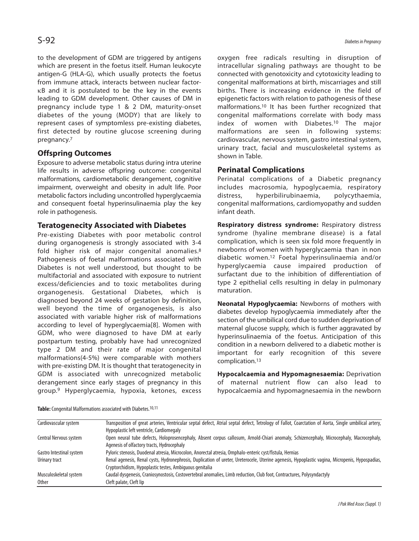to the development of GDM are triggered by antigens which are present in the foetus itself. Human leukocyte antigen-G (HLA-G), which usually protects the foetus from immune attack, interacts between nuclear factorκB and it is postulated to be the key in the events leading to GDM development. Other causes of DM in pregnancy include type 1 & 2 DM, maturity-onset diabetes of the young (MODY) that are likely to represent cases of symptomless pre-existing diabetes, first detected by routine glucose screening during pregnancy. 7

# **Offspring Outcomes**

Exposure to adverse metabolic status during intra uterine life results in adverse offspring outcome: congenital malformations, cardiometabolic derangement, cognitive impairment, overweight and obesity in adult life. Poor metabolic factors including uncontrolled hyperglycaemia and consequent foetal hyperinsulinaemia play the key role in pathogenesis.

### **Teratogenecity Associated with Diabetes**

Pre-existing Diabetes with poor metabolic control during organogenesis is strongly associated with 3-4 fold higher risk of major congenital anomalies.8 Pathogenesis of foetal malformations associated with Diabetes is not well understood, but thought to be multifactorial and associated with exposure to nutrient excess/deficiencies and to toxic metabolites during organogenesis. Gestational Diabetes, which is diagnosed beyond 24 weeks of gestation by definition, well beyond the time of organogenesis, is also associated with variable higher risk of malformations according to level of hyperglycaemia[8]. Women with GDM, who were diagnosed to have DM at early postpartum testing, probably have had unrecognized type 2 DM and their rate of major congenital malformations(4-5%) were comparable with mothers with pre-existing DM. It is thought that teratogenecity in GDM is associated with unrecognized metabolic derangement since early stages of pregnancy in this group.9 Hyperglycaemia, hypoxia, ketones, excess

oxygen free radicals resulting in disruption of intracellular signaling pathways are thought to be connected with genotoxicity and cytotoxicity leading to congenital malformations at birth, miscarriages and still births. There is increasing evidence in the field of epigenetic factors with relation to pathogenesis of these malformations. <sup>10</sup> It has been further recognized that congenital malformations correlate with body mass index of women with Diabetes.10 The major malformations are seen in following systems: cardiovascular, nervous system, gastro intestinal system, urinary tract, facial and musculoskeletal systems as shown in Table.

### **Perinatal Complications**

Perinatal complications of a Diabetic pregnancy includes macrosomia, hypoglycaemia, respiratory distress, hyperbilirubinaemia, polycythaemia, congenital malformations, cardiomyopathy and sudden infant death.

**Respiratory distress syndrome:** Respiratory distress syndrome (hyaline membrane disease) is a fatal complication, which is seen six fold more frequently in newborns of women with hyperglycaemia than in non diabetic women.12 Foetal hyperinsulinaemia and/or hyperglycaemia cause impaired production of surfactant due to the inhibition of differentiation of type 2 epithelial cells resulting in delay in pulmonary maturation.

**Neonatal Hypoglycaemia:** Newborns of mothers with diabetes develop hypoglycaemia immediately after the section of the umbilical cord due to sudden deprivation of maternal glucose supply, which is further aggravated by hyperinsulinaemia of the foetus. Anticipation of this condition in a newborn delivered to a diabetic mother is important for early recognition of this severe complication. 13

**Hypocalcaemia and Hypomagnesaemia:** Deprivation of maternal nutrient flow can also lead to hypocalcaemia and hypomagnesaemia in the newborn

| Table: Congenital Malformations associated with Diabetes. <sup>10,11</sup> |  |
|----------------------------------------------------------------------------|--|
|----------------------------------------------------------------------------|--|

| Cardiovascular system    | Transposition of great arteries, Ventricular septal defect, Atrial septal defect, Tetrology of Fallot, Coarctation of Aorta, Single umbilical artery, |
|--------------------------|-------------------------------------------------------------------------------------------------------------------------------------------------------|
|                          | Hypoplastic left ventricle, Cardiomegaly                                                                                                              |
| Central Nervous system   | Open neural tube defects, Holoprosencephaly, Absent corpus callosum, Arnold-Chiari anomaly, Schizencephaly, Microcephaly, Macrocephaly,               |
|                          | Agenesis of olfactory tracts, Hydrocephaly                                                                                                            |
| Gastro Intestinal system | Pyloric stenosis, Duodenal atresia, Microcolon, Anorectal atresia, Omphalo-enteric cyst/fistula, Hernias                                              |
| Urinary tract            | Renal agenesis, Renal cysts, Hydronephrosis, Duplication of ureter, Ureterocele, Uterine agenesis, Hypoplastic vagina, Micropenis, Hypospadias,       |
|                          | Cryptorchidism, Hypoplastic testes, Ambiguous genitalia                                                                                               |
| Musculoskeletal system   | Caudal dysgenesis, Craniosynostosis, Costovertebral anomalies, Limb reduction, Club foot, Contractures, Polysyndactyly                                |
| <b>Other</b>             | Cleft palate, Cleft lip                                                                                                                               |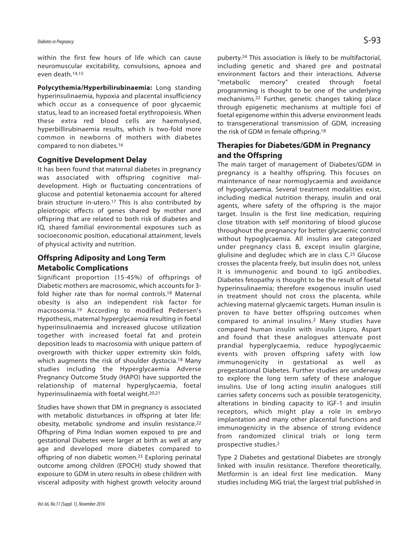# *Diabetes inPregnancy* S-93

within the first few hours of life which can cause neuromuscular excitability, convulsions, apnoea and even death. 14,15

**Polycythemia/Hyperbilirubinaemia:** Long standing hyperinsulinaemia, hypoxia and placental insufficiency which occur as a consequence of poor glycaemic status, lead to an increased foetal erythropoiesis. When these extra red blood cells are haemolysed, hyperbillirubinaemia results, which is two-fold more common in newborns of mothers with diabetes compared to non diabetes. 16

#### **Cognitive Development Delay**

It has been found that maternal diabetes in pregnancy was associated with offspring cognitive maldevelopment. High or fluctuating concentrations of glucose and potential ketonaemia account for altered brain structure in-utero. <sup>17</sup> This is also contributed by pleiotropic effects of genes shared by mother and offspring that are related to both risk of diabetes and IQ, shared familial environmental exposures such as socioeconomic position, educational attainment, levels of physical activity and nutrition.

# **Offspring Adiposity and Long Term Metabolic Complications**

Significant proportion (15-45%) of offsprings of Diabetic mothers are macrosomic, which accounts for 3 fold higher rate than for normal controls. <sup>18</sup> Maternal obesity is also an independent risk factor for macrosomia.19 According to modified Pedersen's Hypothesis, maternal hyperglycaemia resulting in foetal hyperinsulinaemia and increased glucose utilization together with increased foetal fat and protein deposition leads to macrosomia with unique pattern of overgrowth with thicker upper extremity skin folds, which augments the risk of shoulder dystocia. <sup>18</sup> Many studies including the Hyperglycaemia Adverse Pregnancy Outcome Study (HAPO) have supported the relationship of maternal hyperglycaemia, foetal hyperinsulinaemia with foetal weight. 20,21

Studies have shown that DM in pregnancy is associated with metabolic disturbances in offspring at later life: obesity, metabolic syndrome and insulin resistance. 22 Offspring of Pima Indian women exposed to pre and gestational Diabetes were larger at birth as well at any age and developed more diabetes compared to offspring of non diabetic women. <sup>23</sup> Exploring perinatal outcome among children (EPOCH) study showed that exposure to GDM in utero results in obese children with visceral adiposity with highest growth velocity around

puberty. <sup>24</sup> This association is likely to be multifactorial, including genetic and shared pre and postnatal environment factors and their interactions. Adverse "metabolic memory" created through foetal programming is thought to be one of the underlying mechanisms. <sup>22</sup> Further, genetic changes taking place through epigenetic mechanisms at multiple foci of foetal epigenome within this adverse environment leads to transgenerational transmission of GDM, increasing the risk of GDM in female offspring. 18

## **Therapies for Diabetes/GDM in Pregnancy and the Offspring**

The main target of management of Diabetes/GDM in pregnancy is a healthy offspring. This focuses on maintenance of near normoglycaemia and avoidance of hypoglycaemia. Several treatment modalities exist, including medical nutrition therapy, insulin and oral agents, where safety of the offspring is the major target. Insulin is the first line medication, requiring close titration with self monitoring of blood glucose throughout the pregnancy for better glycaemic control without hypoglycaemia. All insulins are categorized under pregnancy class B, except insulin glargine, glulisine and degludec which are in class C. <sup>25</sup> Glucose crosses the placenta freely, but insulin does not, unless it is immunogenic and bound to IgG antibodies. Diabetes fetopathy is thought to be the result of foetal hyperinsulinaemia; therefore exogenous insulin used in treatment should not cross the placenta, while achieving maternal glycaemic targets. Human insulin is proven to have better offspring outcomes when compared to animal insulins.2 Many studies have compared human insulin with insulin Lispro, Aspart and found that these analogues attenuate post prandial hyperglycaemia, reduce hypoglycaemic events with proven offspring safety with low immunogenicity in gestational as well as pregestational Diabetes. Further studies are underway to explore the long term safety of these analogue insulins. Use of long acting insulin analogues still carries safety concerns such as possible teratogenicity, alterations in binding capacity to IGF-1 and insulin receptors, which might play a role in embryo implantation and many other placental functions and immunogenicity in the absence of strong evidence from randomized clinical trials or long term prospective studies. 2

Type 2 Diabetes and gestational Diabetes are strongly linked with insulin resistance. Therefore theoretically, Metformin is an ideal first line medication. Many studies including MiG trial, the largest trial published in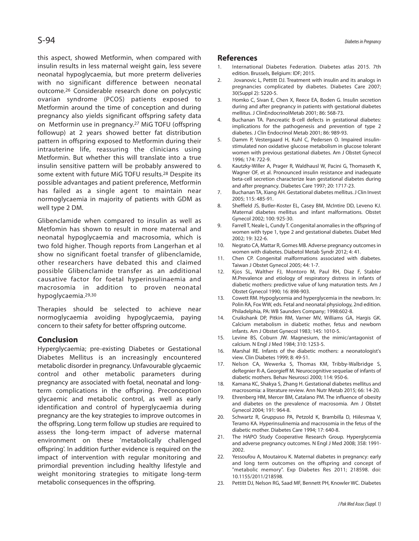this aspect, showed Metformin, when compared with insulin results in less maternal weight gain, less severe neonatal hypoglycaemia, but more preterm deliveries with no significant difference between neonatal outcome. 26 Considerable research done on polycystic ovarian syndrome (PCOS) patients exposed to Metformin around the time of conception and during pregnancy also yields significant offspring safety data on Metformin use in pregnancy. <sup>27</sup> MiG TOFU (offspring followup) at 2 years showed better fat distribution pattern in offspring exposed to Metformin during their intrauterine life, reassuring the clinicians using Metformin. But whether this will translate into a true insulin sensitive pattern will be probably answered to some extent with future MiG TOFU results. <sup>28</sup> Despite its possible advantages and patient preference, Metformin has failed as a single agent to maintain near normoglycaemia in majority of patients with GDM as well type 2 DM.

Glibenclamide when compared to insulin as well as Metfomin has shown to result in more maternal and neonatal hypoglycaemia and macrosomia, which is two fold higher. Though reports from Langerhan et al show no significant foetal transfer of glibenclamide, other researchers have debated this and claimed possible Glibenclamide transfer as an additional causative factor for foetal hyperinsulinaemia and macrosomia in addition to proven neonatal hypoglycaemia.29,30

Therapies should be selected to achieve near normoglycaemia avoiding hypoglycaemia, paying concern to their safety for better offspring outcome.

#### **Conclusion**

Hyperglycaemia; pre-existing Diabetes or Gestational Diabetes Mellitus is an increasingly encountered metabolic disorder in pregnancy. Unfavourable glycaemic control and other metabolic parameters during pregnancy are associated with foetal, neonatal and longterm complications in the offspring. Preconception glycaemic and metabolic control, as well as early identification and control of hyperglycaemia during pregnancy are the key strategies to improve outcomes in the offspring. Long term follow up studies are required to assess the long-term impact of adverse maternal environment on these 'metabolically challenged offspring'. In addition further evidence is required on the impact of intervention with regular monitoring and primordial prevention including healthy lifestyle and weight monitoring strategies to mitigate long-term metabolic consequences in the offspring.

#### **References**

- 1. International Diabetes Federation. Diabetes atlas 2015. 7th edition. Brussels, Belgium: IDF; 2015.
- 2. Jovanovic L, Pettitt DJ. Treatment with insulin and its analogs in pregnancies complicated by diabetes. Diabetes Care 2007; 30(Suppl 2): 5220-5.
- 3. Homko C, Sivan E, Chen X, Reece EA, Boden G. Insulin secretion during and after pregnancy in patients with gestational diabetes mellitus. J ClinEndocrinolMetab 2001; 86: 568-73.
- 4. Buchanan TA. Pancreatic B-cell defects in gestational diabetes: implications for the pathogenesis and prevention of type 2 diabetes. J Clin Endocrinol Metab 2001; 86: 989-93.
- 5. Damm P, Vestergaard H, Kuhl C, Pedersen O. Impaired insulinstimulated non oxidative glucose metabolism in glucose tolerant women with previous gestational diabetes. Am J Obstet Gynecol 1996; 174: 722-9.
- 6. Kautzky-Willer A, Prager R, Waldhausl W, Pacini G, Thomaseth K, Wagner OF, et al. Pronounced insulin resistance and inadequate beta-cell secretion characterize lean gestational diabetes during and after pregnancy. Diabetes Care 1997; 20: 1717-23.
- 7. Buchanan TA, Xiang AH. Gestational diabetes mellitus.J Clin Invest 2005; 115: 485-91.
- 8. Sheffield JS, Butler-Koster EL, Casey BM, McIntire DD, Leveno KJ. Maternal diabetes mellitus and infant malformations. Obstet Gynecol 2002; 100: 925-30.
- 9. Farrell T, Neale L, Cundy T. Congenital anomalies in the offspring of women with type 1, type 2 and gestational diabetes. Diabet Med 2002; 19: 322-6.
- 10. Negrato CA, Mattar R, Gomes MB. Adverse pregnancy outcomesin women with diabetes. Diabetol Metab Syndr 2012; 4: 41.
- 11. Chen CP. Congenital malformations associated with diabetes. Taiwan J Obstet Gynecol 2005; 44: 1-7.
- 12. Kjos SL, Walther FJ, Montoro M, Paul RH, Diaz F, Stabler M.Prevalence and etiology of respiratory distress in infants of diabetic mothers: predictive value of lung maturation tests. Am J Obstet Gynecol 1990; 16: 898-903.
- 13. Cowett RM. Hypoglycemia and hyperglycemia in the newborn. In: Polin RA, Fox WW, eds. Fetal and neonatal physiology, 2nd edition. Philadelphia, PA: WB Saunders Company; 1998:602-8.
- 14. Cruikshank DP, Pitkin RM, Varner MV, Williams GA, Hargis GK. Calcium metabolism in diabetic mother, fetus and newborn infants. Am J Obstet Gynecol 1983; 145: 1010-5.
- 15. Levine BS, Coburn JW. Magnesium, the mimic/antagonist of calcium. N Engl J Med 1984; 310: 1253-5.
- 16. Marshal RE. Infants of the diabetic mothers: a neonatologist's view. Clin Diabetes 1999; 8: 49-51.
- 17. Nelson CA, Wewerka S, Thomas KM, Tribby-Walbridge S, deRegnier R-A, Georgieff M. Neurocognitive sequelae of infants of diabetic mothers. Behav Neurosci 2000; 114: 950-6.
- 18. Kamana KC, Shakya S, Zhang H. Gestational diabetes mellitus and macrosomia: a literature review. Ann Nutr Metab 2015; 66: 14-20.
- 19. Ehrenberg HM, Mercer BM, Catalano PM. The influence of obesity and diabetes on the prevalence of macrosomia. Am J Obstet Gynecol 2004; 191: 964-8.
- 20. Schwartz R, Gruppuso PA, Petzold K, Brambilla D, Hiilesmaa V, Teramo KA. Hyperinsulinemia and macrosomia in the fetus of the diabetic mother. Diabetes Care 1994; 17: 640-8.
- 21. The HAPO Study Cooperative Research Group. Hyperglycemia and adverse pregnancy outcomes. N Engl J Med 2008; 358: 1991- 2002.
- 22. Yessoufou A, Moutairou K. Maternal diabetes in pregnancy: early and long term outcomes on the offspring and concept of "metabolic memory". Exp Diabetes Res 2011; 218598. doi: 10.1155/2011/218598.
- 23. Pettitt DJ, Nelson RG, Saad MF, Bennett PH, Knowler WC. Diabetes